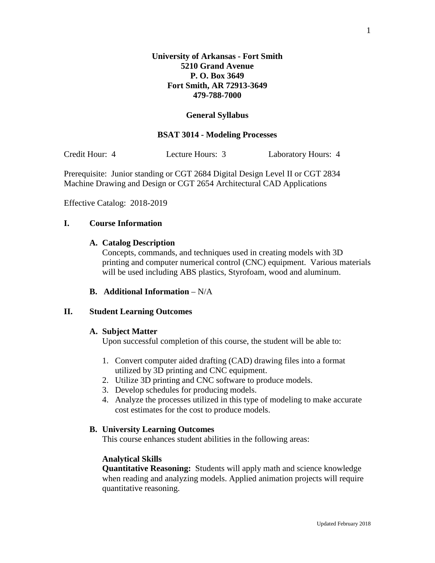## **General Syllabus**

#### **BSAT 3014 - Modeling Processes**

Credit Hour: 4 Lecture Hours: 3 Laboratory Hours: 4

Prerequisite: Junior standing or CGT 2684 Digital Design Level II or CGT 2834 Machine Drawing and Design or CGT 2654 Architectural CAD Applications

Effective Catalog: 2018-2019

## **I. Course Information**

#### **A. Catalog Description**

Concepts, commands, and techniques used in creating models with 3D printing and computer numerical control (CNC) equipment. Various materials will be used including ABS plastics, Styrofoam, wood and aluminum.

#### **B. Additional Information** – N/A

#### **II. Student Learning Outcomes**

#### **A. Subject Matter**

Upon successful completion of this course, the student will be able to:

- 1. Convert computer aided drafting (CAD) drawing files into a format utilized by 3D printing and CNC equipment.
- 2. Utilize 3D printing and CNC software to produce models.
- 3. Develop schedules for producing models.
- 4. Analyze the processes utilized in this type of modeling to make accurate cost estimates for the cost to produce models.

### **B. University Learning Outcomes**

This course enhances student abilities in the following areas:

## **Analytical Skills**

**Quantitative Reasoning:** Students will apply math and science knowledge when reading and analyzing models. Applied animation projects will require quantitative reasoning.